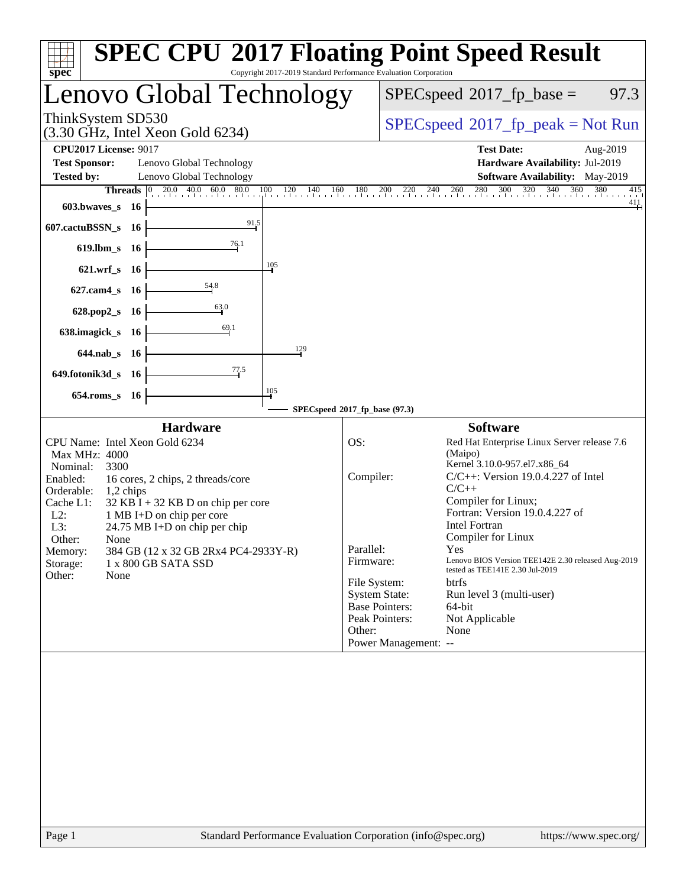| $spec^*$                                                                                                                                                                                                                                                                                                                                                                                                                           | Copyright 2017-2019 Standard Performance Evaluation Corporation |                                                                                                                                                                                                  | <b>SPEC CPU®2017 Floating Point Speed Result</b>                                                                                                                                                                                                                                                                                                                                                                                              |  |  |  |
|------------------------------------------------------------------------------------------------------------------------------------------------------------------------------------------------------------------------------------------------------------------------------------------------------------------------------------------------------------------------------------------------------------------------------------|-----------------------------------------------------------------|--------------------------------------------------------------------------------------------------------------------------------------------------------------------------------------------------|-----------------------------------------------------------------------------------------------------------------------------------------------------------------------------------------------------------------------------------------------------------------------------------------------------------------------------------------------------------------------------------------------------------------------------------------------|--|--|--|
| Lenovo Global Technology                                                                                                                                                                                                                                                                                                                                                                                                           |                                                                 |                                                                                                                                                                                                  | $SPEC speed^{\circ}2017$ _fp_base =<br>97.3                                                                                                                                                                                                                                                                                                                                                                                                   |  |  |  |
| ThinkSystem SD530<br>$(3.30 \text{ GHz}, \text{Intel Xeon Gold } 6234)$                                                                                                                                                                                                                                                                                                                                                            |                                                                 |                                                                                                                                                                                                  | $SPEC speed^{\circ}2017\_fp\_peak = Not Run$                                                                                                                                                                                                                                                                                                                                                                                                  |  |  |  |
| <b>CPU2017 License: 9017</b><br><b>Test Sponsor:</b><br>Lenovo Global Technology<br>Lenovo Global Technology<br><b>Tested by:</b><br><b>Threads</b> $\begin{bmatrix} 0 & 20.0 & 40.0 & 60.0 & 80.0 \\ 1 & 0 & 0 & 0 & 0 \end{bmatrix}$                                                                                                                                                                                             | $100$ $120$ $140$ 1<br>160                                      | 180<br>200<br>$\frac{220}{1}$ $\frac{240}{1}$ $\frac{260}{1}$                                                                                                                                    | <b>Test Date:</b><br>Aug-2019<br>Hardware Availability: Jul-2019<br>Software Availability: May-2019<br>280 300 320 340 360<br>380<br>415                                                                                                                                                                                                                                                                                                      |  |  |  |
| 603.bwaves_s<br>- 16<br>607.cactuBSSN_s 16<br>619.lbm_s 16                                                                                                                                                                                                                                                                                                                                                                         | 91,5<br>76.1                                                    |                                                                                                                                                                                                  | $\frac{411}{ }$                                                                                                                                                                                                                                                                                                                                                                                                                               |  |  |  |
| 621.wrf s 16<br>54.8<br>$627$ .cam $4_s$<br>-16<br>63.0                                                                                                                                                                                                                                                                                                                                                                            | 105                                                             |                                                                                                                                                                                                  |                                                                                                                                                                                                                                                                                                                                                                                                                                               |  |  |  |
| 628.pop2_s 16<br>638.imagick_s 16<br>644.nab s 16<br>649.fotonik3d_s 16                                                                                                                                                                                                                                                                                                                                                            | 69.1<br>129<br>77.5                                             |                                                                                                                                                                                                  |                                                                                                                                                                                                                                                                                                                                                                                                                                               |  |  |  |
| 654.roms_s 16                                                                                                                                                                                                                                                                                                                                                                                                                      | 105                                                             |                                                                                                                                                                                                  |                                                                                                                                                                                                                                                                                                                                                                                                                                               |  |  |  |
| <b>Hardware</b><br>CPU Name: Intel Xeon Gold 6234<br>Max MHz: 4000<br>Nominal:<br>3300<br>Enabled:<br>16 cores, 2 chips, 2 threads/core<br>Orderable:<br>$1,2$ chips<br>Cache L1:<br>$32$ KB I + 32 KB D on chip per core<br>$L2$ :<br>1 MB I+D on chip per core<br>L3:<br>24.75 MB I+D on chip per chip<br>Other:<br>None<br>384 GB (12 x 32 GB 2Rx4 PC4-2933Y-R)<br>Memory:<br>Storage:<br>1 x 800 GB SATA SSD<br>Other:<br>None |                                                                 | SPECspeed®2017_fp_base (97.3)<br>OS:<br>Compiler:<br>Parallel:<br>Firmware:<br>File System:<br><b>System State:</b><br><b>Base Pointers:</b><br>Peak Pointers:<br>Other:<br>Power Management: -- | <b>Software</b><br>Red Hat Enterprise Linux Server release 7.6<br>(Maipo)<br>Kernel 3.10.0-957.el7.x86_64<br>$C/C++$ : Version 19.0.4.227 of Intel<br>$C/C++$<br>Compiler for Linux;<br>Fortran: Version 19.0.4.227 of<br><b>Intel Fortran</b><br>Compiler for Linux<br>Yes<br>Lenovo BIOS Version TEE142E 2.30 released Aug-2019<br>tested as TEE141E 2.30 Jul-2019<br>btrfs<br>Run level 3 (multi-user)<br>64-bit<br>Not Applicable<br>None |  |  |  |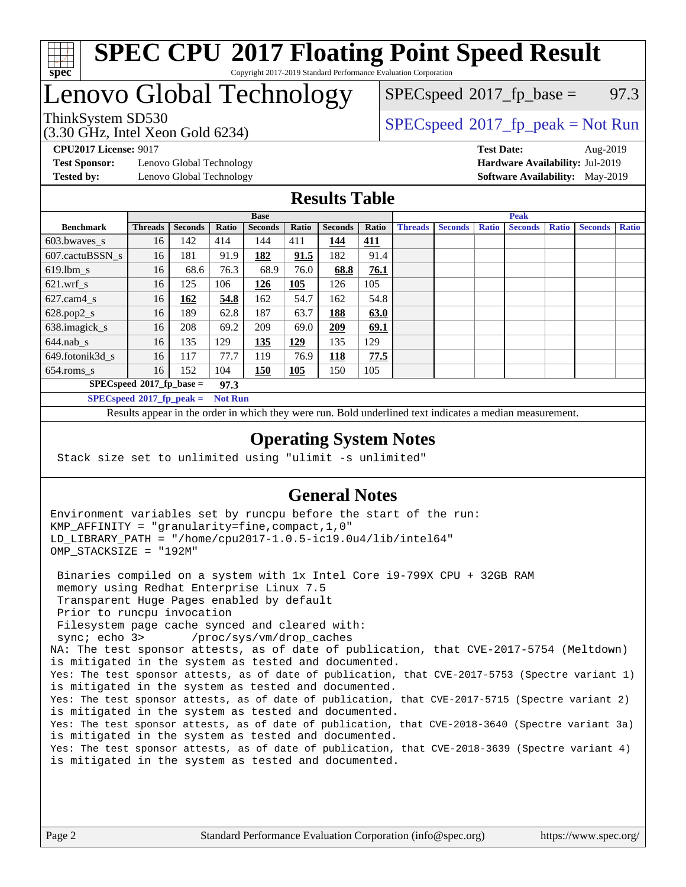

### **[SPEC CPU](http://www.spec.org/auto/cpu2017/Docs/result-fields.html#SPECCPU2017FloatingPointSpeedResult)[2017 Floating Point Speed Result](http://www.spec.org/auto/cpu2017/Docs/result-fields.html#SPECCPU2017FloatingPointSpeedResult)** Copyright 2017-2019 Standard Performance Evaluation Corporation

# Lenovo Global Technology

(3.30 GHz, Intel Xeon Gold 6234)

 $SPECspeed^{\circ}2017\_fp\_base = 97.3$  $SPECspeed^{\circ}2017\_fp\_base = 97.3$ 

# ThinkSystem SD530  $SPECspeed^{\circ}2017_fp\_peak = Not Run$  $SPECspeed^{\circ}2017_fp\_peak = Not Run$

**[Test Sponsor:](http://www.spec.org/auto/cpu2017/Docs/result-fields.html#TestSponsor)** Lenovo Global Technology **[Hardware Availability:](http://www.spec.org/auto/cpu2017/Docs/result-fields.html#HardwareAvailability)** Jul-2019 **[Tested by:](http://www.spec.org/auto/cpu2017/Docs/result-fields.html#Testedby)** Lenovo Global Technology **[Software Availability:](http://www.spec.org/auto/cpu2017/Docs/result-fields.html#SoftwareAvailability)** May-2019

**[CPU2017 License:](http://www.spec.org/auto/cpu2017/Docs/result-fields.html#CPU2017License)** 9017 **[Test Date:](http://www.spec.org/auto/cpu2017/Docs/result-fields.html#TestDate)** Aug-2019

### **[Results Table](http://www.spec.org/auto/cpu2017/Docs/result-fields.html#ResultsTable)**

|                                               | <b>Base</b>    |                |       |                |            | <b>Peak</b>    |            |                |                |              |                |              |                |              |
|-----------------------------------------------|----------------|----------------|-------|----------------|------------|----------------|------------|----------------|----------------|--------------|----------------|--------------|----------------|--------------|
| <b>Benchmark</b>                              | <b>Threads</b> | <b>Seconds</b> | Ratio | <b>Seconds</b> | Ratio      | <b>Seconds</b> | Ratio      | <b>Threads</b> | <b>Seconds</b> | <b>Ratio</b> | <b>Seconds</b> | <b>Ratio</b> | <b>Seconds</b> | <b>Ratio</b> |
| 603.bwayes s                                  | 16             | 142            | 414   | 144            | 411        | 144            | <u>411</u> |                |                |              |                |              |                |              |
| 607.cactuBSSN s                               | 16             | 181            | 91.9  | 182            | 91.5       | 182            | 91.4       |                |                |              |                |              |                |              |
| $619.$ lbm_s                                  | 16             | 68.6           | 76.3  | 68.9           | 76.0       | 68.8           | 76.1       |                |                |              |                |              |                |              |
| $621.wrf$ s                                   | 16             | 125            | 106   | 126            | 105        | 126            | 105        |                |                |              |                |              |                |              |
| $627$ .cam4 s                                 | 16             | 162            | 54.8  | 162            | 54.7       | 162            | 54.8       |                |                |              |                |              |                |              |
| $628.pop2_s$                                  | 16             | 189            | 62.8  | 187            | 63.7       | 188            | 63.0       |                |                |              |                |              |                |              |
| 638.imagick_s                                 | 16             | 208            | 69.2  | 209            | 69.0       | 209            | 69.1       |                |                |              |                |              |                |              |
| $644$ .nab s                                  | 16             | 135            | 129   | 135            | <u>129</u> | 135            | 129        |                |                |              |                |              |                |              |
| 649.fotonik3d s                               | 16             | 117            | 77.7  | 119            | 76.9       | 118            | 77.5       |                |                |              |                |              |                |              |
| $654$ .roms s                                 | 16             | 152            | 104   | <b>150</b>     | 105        | 150            | 105        |                |                |              |                |              |                |              |
| $SPECspeed*2017_fp\_base =$<br>97.3           |                |                |       |                |            |                |            |                |                |              |                |              |                |              |
| $SPECspeed*2017_fp\_peak =$<br><b>Not Run</b> |                |                |       |                |            |                |            |                |                |              |                |              |                |              |

Results appear in the [order in which they were run.](http://www.spec.org/auto/cpu2017/Docs/result-fields.html#RunOrder) Bold underlined text [indicates a median measurement](http://www.spec.org/auto/cpu2017/Docs/result-fields.html#Median).

### **[Operating System Notes](http://www.spec.org/auto/cpu2017/Docs/result-fields.html#OperatingSystemNotes)**

Stack size set to unlimited using "ulimit -s unlimited"

### **[General Notes](http://www.spec.org/auto/cpu2017/Docs/result-fields.html#GeneralNotes)**

Environment variables set by runcpu before the start of the run: KMP\_AFFINITY = "granularity=fine,compact,1,0" LD\_LIBRARY\_PATH = "/home/cpu2017-1.0.5-ic19.0u4/lib/intel64" OMP\_STACKSIZE = "192M"

 Binaries compiled on a system with 1x Intel Core i9-799X CPU + 32GB RAM memory using Redhat Enterprise Linux 7.5 Transparent Huge Pages enabled by default Prior to runcpu invocation Filesystem page cache synced and cleared with: sync; echo 3> /proc/sys/vm/drop\_caches NA: The test sponsor attests, as of date of publication, that CVE-2017-5754 (Meltdown) is mitigated in the system as tested and documented. Yes: The test sponsor attests, as of date of publication, that CVE-2017-5753 (Spectre variant 1) is mitigated in the system as tested and documented. Yes: The test sponsor attests, as of date of publication, that CVE-2017-5715 (Spectre variant 2) is mitigated in the system as tested and documented. Yes: The test sponsor attests, as of date of publication, that CVE-2018-3640 (Spectre variant 3a) is mitigated in the system as tested and documented. Yes: The test sponsor attests, as of date of publication, that CVE-2018-3639 (Spectre variant 4) is mitigated in the system as tested and documented.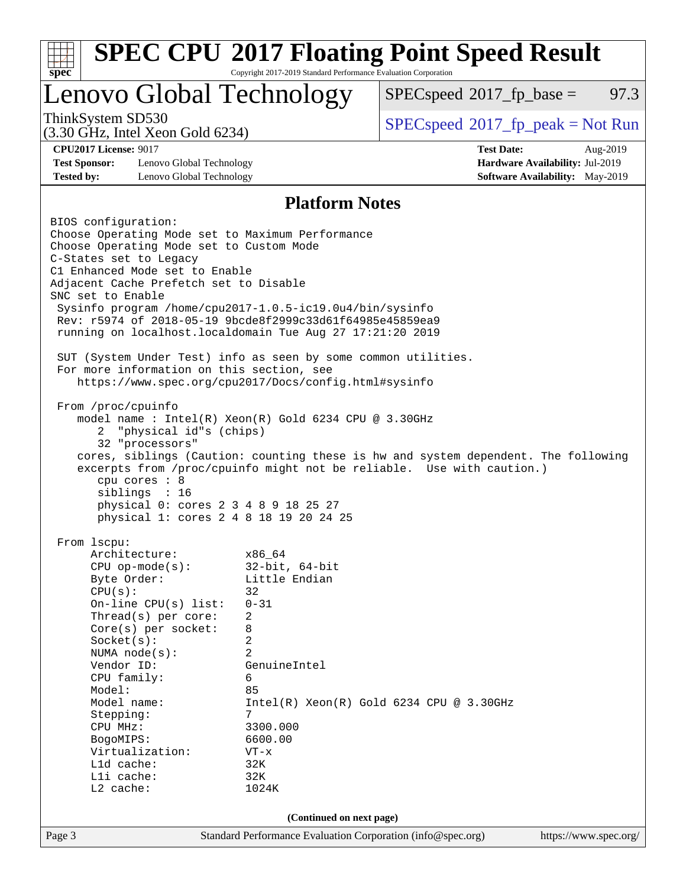| <b>SPEC CPU®2017 Floating Point Speed Result</b><br>Copyright 2017-2019 Standard Performance Evaluation Corporation<br>$spec^*$               |                                                                                                                                                                                                                                                                                                                                      |                                                                                                                                                                                                                                                                                                                                                                                                                                                     |                                                                                                                                                             |                                                                                       |  |  |
|-----------------------------------------------------------------------------------------------------------------------------------------------|--------------------------------------------------------------------------------------------------------------------------------------------------------------------------------------------------------------------------------------------------------------------------------------------------------------------------------------|-----------------------------------------------------------------------------------------------------------------------------------------------------------------------------------------------------------------------------------------------------------------------------------------------------------------------------------------------------------------------------------------------------------------------------------------------------|-------------------------------------------------------------------------------------------------------------------------------------------------------------|---------------------------------------------------------------------------------------|--|--|
| Lenovo Global Technology                                                                                                                      |                                                                                                                                                                                                                                                                                                                                      |                                                                                                                                                                                                                                                                                                                                                                                                                                                     | $SPEC speed^{\circ}2017\_fp\_base =$                                                                                                                        | 97.3                                                                                  |  |  |
| ThinkSystem SD530                                                                                                                             | $(3.30 \text{ GHz}, \text{Intel Xeon Gold } 6234)$                                                                                                                                                                                                                                                                                   |                                                                                                                                                                                                                                                                                                                                                                                                                                                     | $SPEC speed^{\circ}2017\_fp\_peak = Not Run$                                                                                                                |                                                                                       |  |  |
| <b>CPU2017 License: 9017</b><br><b>Test Sponsor:</b><br><b>Tested by:</b>                                                                     | Lenovo Global Technology<br>Lenovo Global Technology                                                                                                                                                                                                                                                                                 |                                                                                                                                                                                                                                                                                                                                                                                                                                                     | <b>Test Date:</b>                                                                                                                                           | Aug-2019<br>Hardware Availability: Jul-2019<br><b>Software Availability:</b> May-2019 |  |  |
|                                                                                                                                               |                                                                                                                                                                                                                                                                                                                                      |                                                                                                                                                                                                                                                                                                                                                                                                                                                     |                                                                                                                                                             |                                                                                       |  |  |
| BIOS configuration:<br>C-States set to Legacy<br>SNC set to Enable<br>From /proc/cpuinfo<br>2                                                 | Choose Operating Mode set to Custom Mode<br>C1 Enhanced Mode set to Enable<br>Adjacent Cache Prefetch set to Disable<br>For more information on this section, see<br>"physical id"s (chips)<br>32 "processors"<br>cpu cores $: 8$<br>siblings : 16<br>physical 0: cores 2 3 4 8 9 18 25 27<br>physical 1: cores 2 4 8 18 19 20 24 25 | <b>Platform Notes</b><br>Choose Operating Mode set to Maximum Performance<br>Sysinfo program /home/cpu2017-1.0.5-ic19.0u4/bin/sysinfo<br>Rev: r5974 of 2018-05-19 9bcde8f2999c33d61f64985e45859ea9<br>running on localhost.localdomain Tue Aug 27 17:21:20 2019<br>SUT (System Under Test) info as seen by some common utilities.<br>https://www.spec.org/cpu2017/Docs/config.html#sysinfo<br>model name : Intel(R) Xeon(R) Gold 6234 CPU @ 3.30GHz | cores, siblings (Caution: counting these is hw and system dependent. The following<br>excerpts from /proc/cpuinfo might not be reliable. Use with caution.) |                                                                                       |  |  |
| From lscpu:<br>CPU(s):<br>Socket(s):<br>Vendor ID:<br>Model:<br>Stepping:<br>CPU MHz:<br>BogoMIPS:<br>L1d cache:<br>Lli cache:<br>$L2$ cache: | Architecture:<br>$CPU$ op-mode(s):<br>Byte Order:<br>On-line $CPU(s)$ list:<br>Thread(s) per core:<br>$Core(s)$ per socket:<br>NUMA $node(s):$<br>CPU family:<br>Model name:<br>Virtualization:                                                                                                                                      | x86 64<br>$32$ -bit, $64$ -bit<br>Little Endian<br>32<br>$0 - 31$<br>2<br>8<br>2<br>2<br>GenuineIntel<br>6<br>85<br>7<br>3300.000<br>6600.00<br>$VT - x$<br>32K<br>32K<br>1024K                                                                                                                                                                                                                                                                     | $Intel(R) Xeon(R) Gold 6234 CPU @ 3.30GHz$                                                                                                                  |                                                                                       |  |  |
|                                                                                                                                               |                                                                                                                                                                                                                                                                                                                                      | (Continued on next page)                                                                                                                                                                                                                                                                                                                                                                                                                            |                                                                                                                                                             |                                                                                       |  |  |
| Page 3                                                                                                                                        |                                                                                                                                                                                                                                                                                                                                      | Standard Performance Evaluation Corporation (info@spec.org)                                                                                                                                                                                                                                                                                                                                                                                         |                                                                                                                                                             | https://www.spec.org/                                                                 |  |  |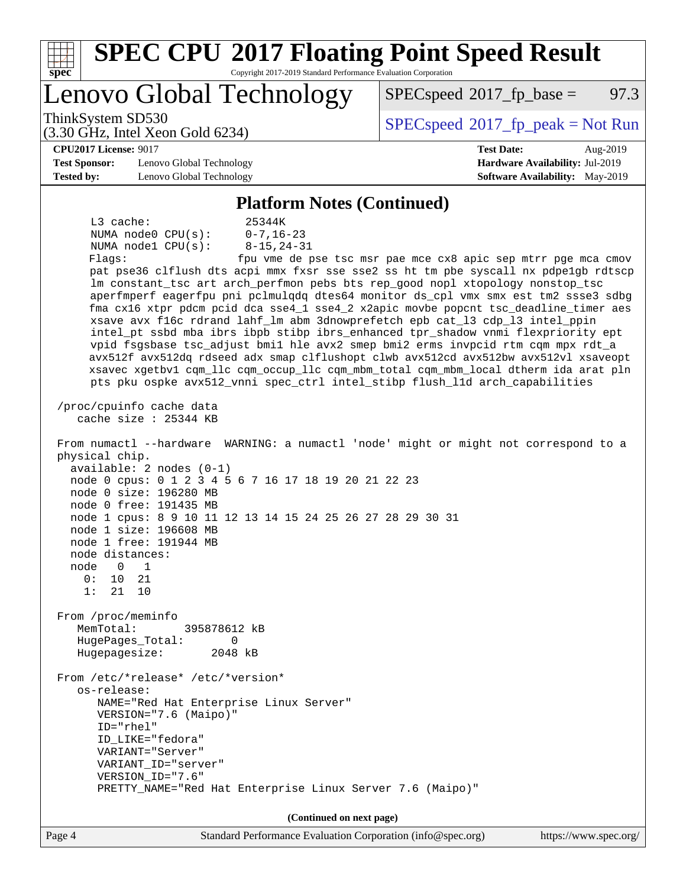| <b>SPEC CPU®2017 Floating Point Speed Result</b><br>Copyright 2017-2019 Standard Performance Evaluation Corporation<br>Spec                                         |                                                               |
|---------------------------------------------------------------------------------------------------------------------------------------------------------------------|---------------------------------------------------------------|
| Lenovo Global Technology                                                                                                                                            | 97.3<br>$SPEC speed^{\circ}2017\_fp\_base =$                  |
| ThinkSystem SD530<br>$(3.30 \text{ GHz}, \text{Intel Xeon Gold } 6234)$                                                                                             | $SPEC speed^{\circ}2017\_fp\_peak = Not Run$                  |
| <b>CPU2017 License: 9017</b>                                                                                                                                        | <b>Test Date:</b><br>Aug-2019                                 |
| <b>Test Sponsor:</b><br>Lenovo Global Technology                                                                                                                    | Hardware Availability: Jul-2019                               |
| <b>Tested by:</b><br>Lenovo Global Technology                                                                                                                       | <b>Software Availability:</b> May-2019                        |
|                                                                                                                                                                     |                                                               |
| <b>Platform Notes (Continued)</b>                                                                                                                                   |                                                               |
| L3 cache:<br>25344K                                                                                                                                                 |                                                               |
| $0 - 7, 16 - 23$<br>NUMA $node0$ $CPU(s)$ :                                                                                                                         |                                                               |
| NUMA node1 CPU(s):<br>$8 - 15, 24 - 31$                                                                                                                             |                                                               |
| Flagg:                                                                                                                                                              | fpu vme de pse tsc msr pae mce cx8 apic sep mtrr pge mca cmov |
| pat pse36 clflush dts acpi mmx fxsr sse sse2 ss ht tm pbe syscall nx pdpe1gb rdtscp                                                                                 |                                                               |
| lm constant_tsc art arch_perfmon pebs bts rep_good nopl xtopology nonstop_tsc<br>aperfmperf eagerfpu pni pclmulqdq dtes64 monitor ds_cpl vmx smx est tm2 ssse3 sdbg |                                                               |
| fma cx16 xtpr pdcm pcid dca sse4_1 sse4_2 x2apic movbe popcnt tsc_deadline_timer aes                                                                                |                                                               |
| xsave avx f16c rdrand lahf_lm abm 3dnowprefetch epb cat_13 cdp_13 intel_ppin                                                                                        |                                                               |
| intel_pt ssbd mba ibrs ibpb stibp ibrs_enhanced tpr_shadow vnmi flexpriority ept                                                                                    |                                                               |
| vpid fsgsbase tsc_adjust bmil hle avx2 smep bmi2 erms invpcid rtm cqm mpx rdt_a                                                                                     |                                                               |
| avx512f avx512dq rdseed adx smap clflushopt clwb avx512cd avx512bw avx512vl xsaveopt                                                                                |                                                               |
| xsavec xgetbv1 cqm_llc cqm_occup_llc cqm_mbm_total cqm_mbm_local dtherm ida arat pln                                                                                |                                                               |
| pts pku ospke avx512_vnni spec_ctrl intel_stibp flush_lld arch_capabilities                                                                                         |                                                               |
| /proc/cpuinfo cache data<br>cache size $: 25344$ KB                                                                                                                 |                                                               |
| From numactl --hardware WARNING: a numactl 'node' might or might not correspond to a<br>physical chip.<br>$available: 2 nodes (0-1)$                                |                                                               |
| node 0 cpus: 0 1 2 3 4 5 6 7 16 17 18 19 20 21 22 23                                                                                                                |                                                               |
| node 0 size: 196280 MB                                                                                                                                              |                                                               |
| node 0 free: 191435 MB                                                                                                                                              |                                                               |
| node 1 cpus: 8 9 10 11 12 13 14 15 24 25 26 27 28 29 30 31                                                                                                          |                                                               |
| node 1 size: 196608 MB                                                                                                                                              |                                                               |
| node 1 free: 191944 MB                                                                                                                                              |                                                               |
| node distances:<br>node<br>0<br>1                                                                                                                                   |                                                               |
| 0 :<br>10<br>21                                                                                                                                                     |                                                               |
| 1:<br>21<br>10                                                                                                                                                      |                                                               |
|                                                                                                                                                                     |                                                               |
| From /proc/meminfo                                                                                                                                                  |                                                               |
| MemTotal:<br>395878612 kB                                                                                                                                           |                                                               |
| HugePages_Total:<br>0                                                                                                                                               |                                                               |
| Hugepagesize:<br>2048 kB                                                                                                                                            |                                                               |
| From /etc/*release* /etc/*version*<br>os-release:                                                                                                                   |                                                               |
| NAME="Red Hat Enterprise Linux Server"                                                                                                                              |                                                               |
| VERSION="7.6 (Maipo)"                                                                                                                                               |                                                               |
| ID="rhel"                                                                                                                                                           |                                                               |
| ID LIKE="fedora"                                                                                                                                                    |                                                               |
| VARIANT="Server"                                                                                                                                                    |                                                               |
| VARIANT_ID="server"                                                                                                                                                 |                                                               |
| VERSION_ID="7.6"<br>PRETTY_NAME="Red Hat Enterprise Linux Server 7.6 (Maipo)"                                                                                       |                                                               |
|                                                                                                                                                                     |                                                               |
| (Continued on next page)                                                                                                                                            |                                                               |
| Page 4<br>Standard Performance Evaluation Corporation (info@spec.org)                                                                                               | https://www.spec.org/                                         |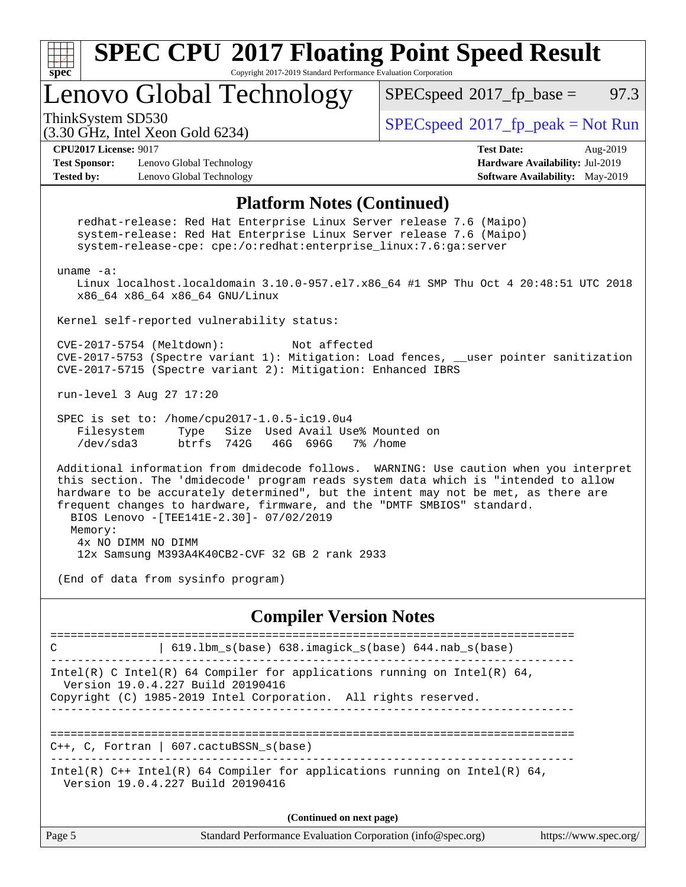

| (Continued on next page) |                                                             |                       |  |  |  |
|--------------------------|-------------------------------------------------------------|-----------------------|--|--|--|
| $\vert$ Page 5           | Standard Performance Evaluation Corporation (info@spec.org) | https://www.spec.org/ |  |  |  |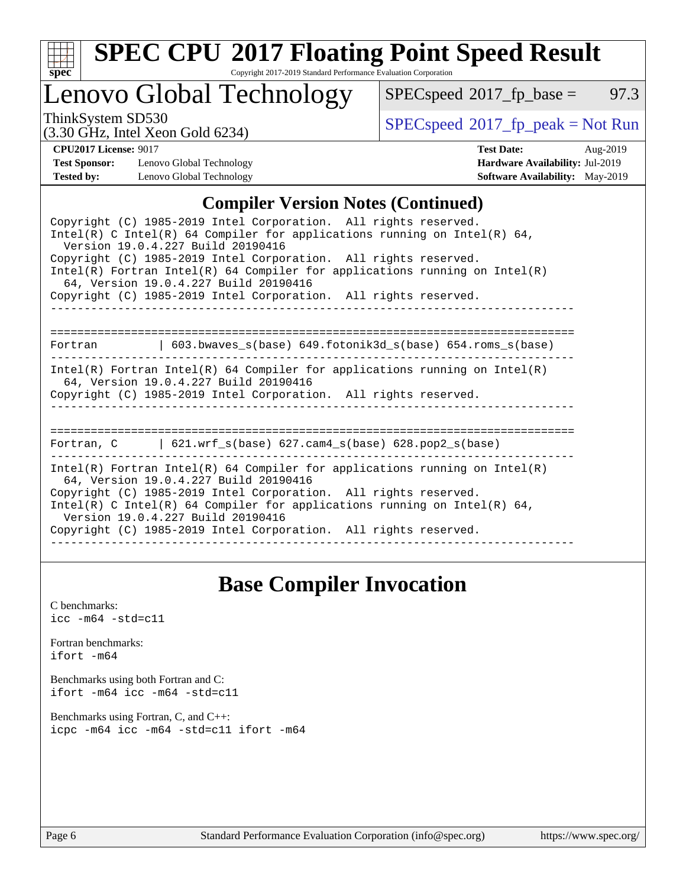

# **[SPEC CPU](http://www.spec.org/auto/cpu2017/Docs/result-fields.html#SPECCPU2017FloatingPointSpeedResult)[2017 Floating Point Speed Result](http://www.spec.org/auto/cpu2017/Docs/result-fields.html#SPECCPU2017FloatingPointSpeedResult)**

Copyright 2017-2019 Standard Performance Evaluation Corporation

Lenovo Global Technology

 $SPECspeed^{\circ}2017_fp\_base = 97.3$  $SPECspeed^{\circ}2017_fp\_base = 97.3$ 

ThinkSystem SD530<br>  $(3.30 \text{ GHz}_{1})$  [SPECspeed](http://www.spec.org/auto/cpu2017/Docs/result-fields.html#SPECspeed2017fppeak)®[2017\\_fp\\_peak = N](http://www.spec.org/auto/cpu2017/Docs/result-fields.html#SPECspeed2017fppeak)ot Run

(3.30 GHz, Intel Xeon Gold 6234) **[CPU2017 License:](http://www.spec.org/auto/cpu2017/Docs/result-fields.html#CPU2017License)** 9017 **[Test Date:](http://www.spec.org/auto/cpu2017/Docs/result-fields.html#TestDate)** Aug-2019

**[Test Sponsor:](http://www.spec.org/auto/cpu2017/Docs/result-fields.html#TestSponsor)** Lenovo Global Technology **[Hardware Availability:](http://www.spec.org/auto/cpu2017/Docs/result-fields.html#HardwareAvailability)** Jul-2019 **[Tested by:](http://www.spec.org/auto/cpu2017/Docs/result-fields.html#Testedby)** Lenovo Global Technology **[Software Availability:](http://www.spec.org/auto/cpu2017/Docs/result-fields.html#SoftwareAvailability)** May-2019

### **[Compiler Version Notes \(Continued\)](http://www.spec.org/auto/cpu2017/Docs/result-fields.html#CompilerVersionNotes)**

| Copyright (C) 1985-2019 Intel Corporation. All rights reserved.<br>Intel(R) C Intel(R) 64 Compiler for applications running on Intel(R) 64,<br>Version 19.0.4.227 Build 20190416                                                                                                                                                                                             |
|------------------------------------------------------------------------------------------------------------------------------------------------------------------------------------------------------------------------------------------------------------------------------------------------------------------------------------------------------------------------------|
| Copyright (C) 1985-2019 Intel Corporation. All rights reserved.<br>Intel(R) Fortran Intel(R) 64 Compiler for applications running on Intel(R)                                                                                                                                                                                                                                |
| 64, Version 19.0.4.227 Build 20190416<br>Copyright (C) 1985-2019 Intel Corporation. All rights reserved.                                                                                                                                                                                                                                                                     |
|                                                                                                                                                                                                                                                                                                                                                                              |
| 603.bwaves $s(base)$ 649.fotonik3d $s(base)$ 654.roms $s(base)$<br>Fortran                                                                                                                                                                                                                                                                                                   |
| $Intel(R)$ Fortran Intel(R) 64 Compiler for applications running on Intel(R)<br>64, Version 19.0.4.227 Build 20190416<br>Copyright (C) 1985-2019 Intel Corporation. All rights reserved.                                                                                                                                                                                     |
| =================================<br>Fortran, $C = \begin{bmatrix} 621.wrf_s(base) & 627.cam4_s(base) & 628.pop2_s(base) \end{bmatrix}$                                                                                                                                                                                                                                      |
| $Intel(R)$ Fortran Intel(R) 64 Compiler for applications running on Intel(R)<br>64, Version 19.0.4.227 Build 20190416<br>Copyright (C) 1985-2019 Intel Corporation. All rights reserved.<br>Intel(R) C Intel(R) 64 Compiler for applications running on Intel(R) 64,<br>Version 19.0.4.227 Build 20190416<br>Copyright (C) 1985-2019 Intel Corporation. All rights reserved. |

## **[Base Compiler Invocation](http://www.spec.org/auto/cpu2017/Docs/result-fields.html#BaseCompilerInvocation)**

[C benchmarks](http://www.spec.org/auto/cpu2017/Docs/result-fields.html#Cbenchmarks): [icc -m64 -std=c11](http://www.spec.org/cpu2017/results/res2019q3/cpu2017-20190903-17591.flags.html#user_CCbase_intel_icc_64bit_c11_33ee0cdaae7deeeab2a9725423ba97205ce30f63b9926c2519791662299b76a0318f32ddfffdc46587804de3178b4f9328c46fa7c2b0cd779d7a61945c91cd35)

[Fortran benchmarks](http://www.spec.org/auto/cpu2017/Docs/result-fields.html#Fortranbenchmarks): [ifort -m64](http://www.spec.org/cpu2017/results/res2019q3/cpu2017-20190903-17591.flags.html#user_FCbase_intel_ifort_64bit_24f2bb282fbaeffd6157abe4f878425411749daecae9a33200eee2bee2fe76f3b89351d69a8130dd5949958ce389cf37ff59a95e7a40d588e8d3a57e0c3fd751)

[Benchmarks using both Fortran and C](http://www.spec.org/auto/cpu2017/Docs/result-fields.html#BenchmarksusingbothFortranandC): [ifort -m64](http://www.spec.org/cpu2017/results/res2019q3/cpu2017-20190903-17591.flags.html#user_CC_FCbase_intel_ifort_64bit_24f2bb282fbaeffd6157abe4f878425411749daecae9a33200eee2bee2fe76f3b89351d69a8130dd5949958ce389cf37ff59a95e7a40d588e8d3a57e0c3fd751) [icc -m64 -std=c11](http://www.spec.org/cpu2017/results/res2019q3/cpu2017-20190903-17591.flags.html#user_CC_FCbase_intel_icc_64bit_c11_33ee0cdaae7deeeab2a9725423ba97205ce30f63b9926c2519791662299b76a0318f32ddfffdc46587804de3178b4f9328c46fa7c2b0cd779d7a61945c91cd35)

[Benchmarks using Fortran, C, and C++:](http://www.spec.org/auto/cpu2017/Docs/result-fields.html#BenchmarksusingFortranCandCXX) [icpc -m64](http://www.spec.org/cpu2017/results/res2019q3/cpu2017-20190903-17591.flags.html#user_CC_CXX_FCbase_intel_icpc_64bit_4ecb2543ae3f1412ef961e0650ca070fec7b7afdcd6ed48761b84423119d1bf6bdf5cad15b44d48e7256388bc77273b966e5eb805aefd121eb22e9299b2ec9d9) [icc -m64 -std=c11](http://www.spec.org/cpu2017/results/res2019q3/cpu2017-20190903-17591.flags.html#user_CC_CXX_FCbase_intel_icc_64bit_c11_33ee0cdaae7deeeab2a9725423ba97205ce30f63b9926c2519791662299b76a0318f32ddfffdc46587804de3178b4f9328c46fa7c2b0cd779d7a61945c91cd35) [ifort -m64](http://www.spec.org/cpu2017/results/res2019q3/cpu2017-20190903-17591.flags.html#user_CC_CXX_FCbase_intel_ifort_64bit_24f2bb282fbaeffd6157abe4f878425411749daecae9a33200eee2bee2fe76f3b89351d69a8130dd5949958ce389cf37ff59a95e7a40d588e8d3a57e0c3fd751)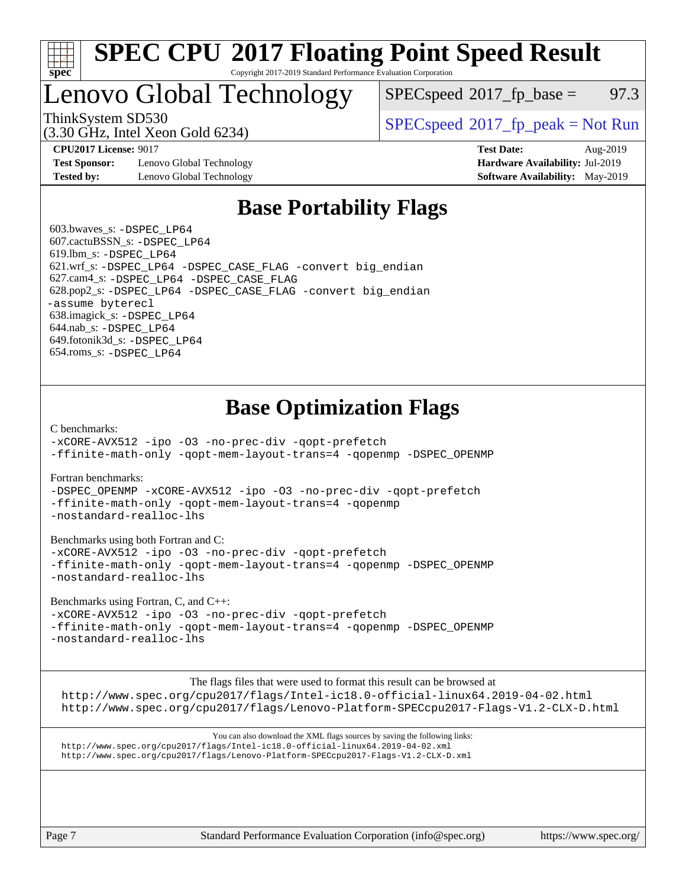

### **[SPEC CPU](http://www.spec.org/auto/cpu2017/Docs/result-fields.html#SPECCPU2017FloatingPointSpeedResult)[2017 Floating Point Speed Result](http://www.spec.org/auto/cpu2017/Docs/result-fields.html#SPECCPU2017FloatingPointSpeedResult)** Copyright 2017-2019 Standard Performance Evaluation Corporation

# Lenovo Global Technology

 $SPECspeed^{\circ}2017\_fp\_base = 97.3$  $SPECspeed^{\circ}2017\_fp\_base = 97.3$ 

(3.30 GHz, Intel Xeon Gold 6234)

ThinkSystem SD530  $SPECspeed^{\circ}2017_fp\_peak = Not Run$  $SPECspeed^{\circ}2017_fp\_peak = Not Run$ 

**[Test Sponsor:](http://www.spec.org/auto/cpu2017/Docs/result-fields.html#TestSponsor)** Lenovo Global Technology **[Hardware Availability:](http://www.spec.org/auto/cpu2017/Docs/result-fields.html#HardwareAvailability)** Jul-2019 **[Tested by:](http://www.spec.org/auto/cpu2017/Docs/result-fields.html#Testedby)** Lenovo Global Technology **[Software Availability:](http://www.spec.org/auto/cpu2017/Docs/result-fields.html#SoftwareAvailability)** May-2019

**[CPU2017 License:](http://www.spec.org/auto/cpu2017/Docs/result-fields.html#CPU2017License)** 9017 **[Test Date:](http://www.spec.org/auto/cpu2017/Docs/result-fields.html#TestDate)** Aug-2019

# **[Base Portability Flags](http://www.spec.org/auto/cpu2017/Docs/result-fields.html#BasePortabilityFlags)**

 603.bwaves\_s: [-DSPEC\\_LP64](http://www.spec.org/cpu2017/results/res2019q3/cpu2017-20190903-17591.flags.html#suite_basePORTABILITY603_bwaves_s_DSPEC_LP64) 607.cactuBSSN\_s: [-DSPEC\\_LP64](http://www.spec.org/cpu2017/results/res2019q3/cpu2017-20190903-17591.flags.html#suite_basePORTABILITY607_cactuBSSN_s_DSPEC_LP64) 619.lbm\_s: [-DSPEC\\_LP64](http://www.spec.org/cpu2017/results/res2019q3/cpu2017-20190903-17591.flags.html#suite_basePORTABILITY619_lbm_s_DSPEC_LP64) 621.wrf\_s: [-DSPEC\\_LP64](http://www.spec.org/cpu2017/results/res2019q3/cpu2017-20190903-17591.flags.html#suite_basePORTABILITY621_wrf_s_DSPEC_LP64) [-DSPEC\\_CASE\\_FLAG](http://www.spec.org/cpu2017/results/res2019q3/cpu2017-20190903-17591.flags.html#b621.wrf_s_baseCPORTABILITY_DSPEC_CASE_FLAG) [-convert big\\_endian](http://www.spec.org/cpu2017/results/res2019q3/cpu2017-20190903-17591.flags.html#user_baseFPORTABILITY621_wrf_s_convert_big_endian_c3194028bc08c63ac5d04de18c48ce6d347e4e562e8892b8bdbdc0214820426deb8554edfa529a3fb25a586e65a3d812c835984020483e7e73212c4d31a38223) 627.cam4\_s: [-DSPEC\\_LP64](http://www.spec.org/cpu2017/results/res2019q3/cpu2017-20190903-17591.flags.html#suite_basePORTABILITY627_cam4_s_DSPEC_LP64) [-DSPEC\\_CASE\\_FLAG](http://www.spec.org/cpu2017/results/res2019q3/cpu2017-20190903-17591.flags.html#b627.cam4_s_baseCPORTABILITY_DSPEC_CASE_FLAG) 628.pop2\_s: [-DSPEC\\_LP64](http://www.spec.org/cpu2017/results/res2019q3/cpu2017-20190903-17591.flags.html#suite_basePORTABILITY628_pop2_s_DSPEC_LP64) [-DSPEC\\_CASE\\_FLAG](http://www.spec.org/cpu2017/results/res2019q3/cpu2017-20190903-17591.flags.html#b628.pop2_s_baseCPORTABILITY_DSPEC_CASE_FLAG) [-convert big\\_endian](http://www.spec.org/cpu2017/results/res2019q3/cpu2017-20190903-17591.flags.html#user_baseFPORTABILITY628_pop2_s_convert_big_endian_c3194028bc08c63ac5d04de18c48ce6d347e4e562e8892b8bdbdc0214820426deb8554edfa529a3fb25a586e65a3d812c835984020483e7e73212c4d31a38223) [-assume byterecl](http://www.spec.org/cpu2017/results/res2019q3/cpu2017-20190903-17591.flags.html#user_baseFPORTABILITY628_pop2_s_assume_byterecl_7e47d18b9513cf18525430bbf0f2177aa9bf368bc7a059c09b2c06a34b53bd3447c950d3f8d6c70e3faf3a05c8557d66a5798b567902e8849adc142926523472) 638.imagick\_s: [-DSPEC\\_LP64](http://www.spec.org/cpu2017/results/res2019q3/cpu2017-20190903-17591.flags.html#suite_basePORTABILITY638_imagick_s_DSPEC_LP64) 644.nab\_s: [-DSPEC\\_LP64](http://www.spec.org/cpu2017/results/res2019q3/cpu2017-20190903-17591.flags.html#suite_basePORTABILITY644_nab_s_DSPEC_LP64) 649.fotonik3d\_s: [-DSPEC\\_LP64](http://www.spec.org/cpu2017/results/res2019q3/cpu2017-20190903-17591.flags.html#suite_basePORTABILITY649_fotonik3d_s_DSPEC_LP64) 654.roms\_s: [-DSPEC\\_LP64](http://www.spec.org/cpu2017/results/res2019q3/cpu2017-20190903-17591.flags.html#suite_basePORTABILITY654_roms_s_DSPEC_LP64)

# **[Base Optimization Flags](http://www.spec.org/auto/cpu2017/Docs/result-fields.html#BaseOptimizationFlags)**

[C benchmarks](http://www.spec.org/auto/cpu2017/Docs/result-fields.html#Cbenchmarks):

[-xCORE-AVX512](http://www.spec.org/cpu2017/results/res2019q3/cpu2017-20190903-17591.flags.html#user_CCbase_f-xCORE-AVX512) [-ipo](http://www.spec.org/cpu2017/results/res2019q3/cpu2017-20190903-17591.flags.html#user_CCbase_f-ipo) [-O3](http://www.spec.org/cpu2017/results/res2019q3/cpu2017-20190903-17591.flags.html#user_CCbase_f-O3) [-no-prec-div](http://www.spec.org/cpu2017/results/res2019q3/cpu2017-20190903-17591.flags.html#user_CCbase_f-no-prec-div) [-qopt-prefetch](http://www.spec.org/cpu2017/results/res2019q3/cpu2017-20190903-17591.flags.html#user_CCbase_f-qopt-prefetch) [-ffinite-math-only](http://www.spec.org/cpu2017/results/res2019q3/cpu2017-20190903-17591.flags.html#user_CCbase_f_finite_math_only_cb91587bd2077682c4b38af759c288ed7c732db004271a9512da14a4f8007909a5f1427ecbf1a0fb78ff2a814402c6114ac565ca162485bbcae155b5e4258871) [-qopt-mem-layout-trans=4](http://www.spec.org/cpu2017/results/res2019q3/cpu2017-20190903-17591.flags.html#user_CCbase_f-qopt-mem-layout-trans_fa39e755916c150a61361b7846f310bcdf6f04e385ef281cadf3647acec3f0ae266d1a1d22d972a7087a248fd4e6ca390a3634700869573d231a252c784941a8) [-qopenmp](http://www.spec.org/cpu2017/results/res2019q3/cpu2017-20190903-17591.flags.html#user_CCbase_qopenmp_16be0c44f24f464004c6784a7acb94aca937f053568ce72f94b139a11c7c168634a55f6653758ddd83bcf7b8463e8028bb0b48b77bcddc6b78d5d95bb1df2967) [-DSPEC\\_OPENMP](http://www.spec.org/cpu2017/results/res2019q3/cpu2017-20190903-17591.flags.html#suite_CCbase_DSPEC_OPENMP)

[Fortran benchmarks](http://www.spec.org/auto/cpu2017/Docs/result-fields.html#Fortranbenchmarks):

[-DSPEC\\_OPENMP](http://www.spec.org/cpu2017/results/res2019q3/cpu2017-20190903-17591.flags.html#suite_FCbase_DSPEC_OPENMP) [-xCORE-AVX512](http://www.spec.org/cpu2017/results/res2019q3/cpu2017-20190903-17591.flags.html#user_FCbase_f-xCORE-AVX512) [-ipo](http://www.spec.org/cpu2017/results/res2019q3/cpu2017-20190903-17591.flags.html#user_FCbase_f-ipo) [-O3](http://www.spec.org/cpu2017/results/res2019q3/cpu2017-20190903-17591.flags.html#user_FCbase_f-O3) [-no-prec-div](http://www.spec.org/cpu2017/results/res2019q3/cpu2017-20190903-17591.flags.html#user_FCbase_f-no-prec-div) [-qopt-prefetch](http://www.spec.org/cpu2017/results/res2019q3/cpu2017-20190903-17591.flags.html#user_FCbase_f-qopt-prefetch) [-ffinite-math-only](http://www.spec.org/cpu2017/results/res2019q3/cpu2017-20190903-17591.flags.html#user_FCbase_f_finite_math_only_cb91587bd2077682c4b38af759c288ed7c732db004271a9512da14a4f8007909a5f1427ecbf1a0fb78ff2a814402c6114ac565ca162485bbcae155b5e4258871) [-qopt-mem-layout-trans=4](http://www.spec.org/cpu2017/results/res2019q3/cpu2017-20190903-17591.flags.html#user_FCbase_f-qopt-mem-layout-trans_fa39e755916c150a61361b7846f310bcdf6f04e385ef281cadf3647acec3f0ae266d1a1d22d972a7087a248fd4e6ca390a3634700869573d231a252c784941a8) [-qopenmp](http://www.spec.org/cpu2017/results/res2019q3/cpu2017-20190903-17591.flags.html#user_FCbase_qopenmp_16be0c44f24f464004c6784a7acb94aca937f053568ce72f94b139a11c7c168634a55f6653758ddd83bcf7b8463e8028bb0b48b77bcddc6b78d5d95bb1df2967) [-nostandard-realloc-lhs](http://www.spec.org/cpu2017/results/res2019q3/cpu2017-20190903-17591.flags.html#user_FCbase_f_2003_std_realloc_82b4557e90729c0f113870c07e44d33d6f5a304b4f63d4c15d2d0f1fab99f5daaed73bdb9275d9ae411527f28b936061aa8b9c8f2d63842963b95c9dd6426b8a)

[Benchmarks using both Fortran and C](http://www.spec.org/auto/cpu2017/Docs/result-fields.html#BenchmarksusingbothFortranandC):

[-xCORE-AVX512](http://www.spec.org/cpu2017/results/res2019q3/cpu2017-20190903-17591.flags.html#user_CC_FCbase_f-xCORE-AVX512) [-ipo](http://www.spec.org/cpu2017/results/res2019q3/cpu2017-20190903-17591.flags.html#user_CC_FCbase_f-ipo) [-O3](http://www.spec.org/cpu2017/results/res2019q3/cpu2017-20190903-17591.flags.html#user_CC_FCbase_f-O3) [-no-prec-div](http://www.spec.org/cpu2017/results/res2019q3/cpu2017-20190903-17591.flags.html#user_CC_FCbase_f-no-prec-div) [-qopt-prefetch](http://www.spec.org/cpu2017/results/res2019q3/cpu2017-20190903-17591.flags.html#user_CC_FCbase_f-qopt-prefetch) [-ffinite-math-only](http://www.spec.org/cpu2017/results/res2019q3/cpu2017-20190903-17591.flags.html#user_CC_FCbase_f_finite_math_only_cb91587bd2077682c4b38af759c288ed7c732db004271a9512da14a4f8007909a5f1427ecbf1a0fb78ff2a814402c6114ac565ca162485bbcae155b5e4258871) [-qopt-mem-layout-trans=4](http://www.spec.org/cpu2017/results/res2019q3/cpu2017-20190903-17591.flags.html#user_CC_FCbase_f-qopt-mem-layout-trans_fa39e755916c150a61361b7846f310bcdf6f04e385ef281cadf3647acec3f0ae266d1a1d22d972a7087a248fd4e6ca390a3634700869573d231a252c784941a8) [-qopenmp](http://www.spec.org/cpu2017/results/res2019q3/cpu2017-20190903-17591.flags.html#user_CC_FCbase_qopenmp_16be0c44f24f464004c6784a7acb94aca937f053568ce72f94b139a11c7c168634a55f6653758ddd83bcf7b8463e8028bb0b48b77bcddc6b78d5d95bb1df2967) [-DSPEC\\_OPENMP](http://www.spec.org/cpu2017/results/res2019q3/cpu2017-20190903-17591.flags.html#suite_CC_FCbase_DSPEC_OPENMP) [-nostandard-realloc-lhs](http://www.spec.org/cpu2017/results/res2019q3/cpu2017-20190903-17591.flags.html#user_CC_FCbase_f_2003_std_realloc_82b4557e90729c0f113870c07e44d33d6f5a304b4f63d4c15d2d0f1fab99f5daaed73bdb9275d9ae411527f28b936061aa8b9c8f2d63842963b95c9dd6426b8a)

[Benchmarks using Fortran, C, and C++:](http://www.spec.org/auto/cpu2017/Docs/result-fields.html#BenchmarksusingFortranCandCXX)

[-xCORE-AVX512](http://www.spec.org/cpu2017/results/res2019q3/cpu2017-20190903-17591.flags.html#user_CC_CXX_FCbase_f-xCORE-AVX512) [-ipo](http://www.spec.org/cpu2017/results/res2019q3/cpu2017-20190903-17591.flags.html#user_CC_CXX_FCbase_f-ipo) [-O3](http://www.spec.org/cpu2017/results/res2019q3/cpu2017-20190903-17591.flags.html#user_CC_CXX_FCbase_f-O3) [-no-prec-div](http://www.spec.org/cpu2017/results/res2019q3/cpu2017-20190903-17591.flags.html#user_CC_CXX_FCbase_f-no-prec-div) [-qopt-prefetch](http://www.spec.org/cpu2017/results/res2019q3/cpu2017-20190903-17591.flags.html#user_CC_CXX_FCbase_f-qopt-prefetch) [-ffinite-math-only](http://www.spec.org/cpu2017/results/res2019q3/cpu2017-20190903-17591.flags.html#user_CC_CXX_FCbase_f_finite_math_only_cb91587bd2077682c4b38af759c288ed7c732db004271a9512da14a4f8007909a5f1427ecbf1a0fb78ff2a814402c6114ac565ca162485bbcae155b5e4258871) [-qopt-mem-layout-trans=4](http://www.spec.org/cpu2017/results/res2019q3/cpu2017-20190903-17591.flags.html#user_CC_CXX_FCbase_f-qopt-mem-layout-trans_fa39e755916c150a61361b7846f310bcdf6f04e385ef281cadf3647acec3f0ae266d1a1d22d972a7087a248fd4e6ca390a3634700869573d231a252c784941a8) [-qopenmp](http://www.spec.org/cpu2017/results/res2019q3/cpu2017-20190903-17591.flags.html#user_CC_CXX_FCbase_qopenmp_16be0c44f24f464004c6784a7acb94aca937f053568ce72f94b139a11c7c168634a55f6653758ddd83bcf7b8463e8028bb0b48b77bcddc6b78d5d95bb1df2967) [-DSPEC\\_OPENMP](http://www.spec.org/cpu2017/results/res2019q3/cpu2017-20190903-17591.flags.html#suite_CC_CXX_FCbase_DSPEC_OPENMP) [-nostandard-realloc-lhs](http://www.spec.org/cpu2017/results/res2019q3/cpu2017-20190903-17591.flags.html#user_CC_CXX_FCbase_f_2003_std_realloc_82b4557e90729c0f113870c07e44d33d6f5a304b4f63d4c15d2d0f1fab99f5daaed73bdb9275d9ae411527f28b936061aa8b9c8f2d63842963b95c9dd6426b8a)

[The flags files that were used to format this result can be browsed at](tmsearch)

<http://www.spec.org/cpu2017/flags/Intel-ic18.0-official-linux64.2019-04-02.html> <http://www.spec.org/cpu2017/flags/Lenovo-Platform-SPECcpu2017-Flags-V1.2-CLX-D.html>

[You can also download the XML flags sources by saving the following links:](tmsearch) <http://www.spec.org/cpu2017/flags/Intel-ic18.0-official-linux64.2019-04-02.xml> <http://www.spec.org/cpu2017/flags/Lenovo-Platform-SPECcpu2017-Flags-V1.2-CLX-D.xml>